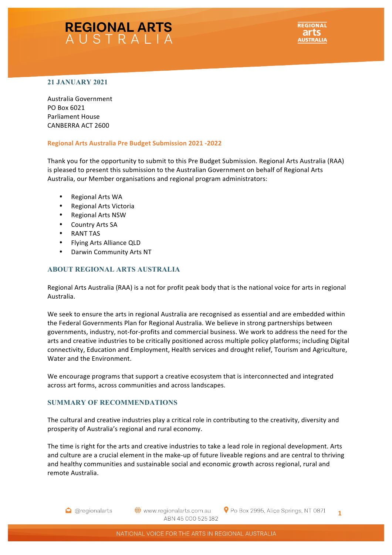## **21 JANUARY 2021**

Australia Government PO Box 6021 Parliament House CANBERRA ACT 2600

#### **Regional Arts Australia Pre Budget Submission 2021 -2022**

Thank you for the opportunity to submit to this Pre Budget Submission. Regional Arts Australia (RAA) is pleased to present this submission to the Australian Government on behalf of Regional Arts Australia, our Member organisations and regional program administrators:

- Regional Arts WA
- Regional Arts Victoria
- **Regional Arts NSW**
- Country Arts SA
- **RANT TAS**
- Flying Arts Alliance QLD
- Darwin Community Arts NT

## **ABOUT REGIONAL ARTS AUSTRALIA**

Regional Arts Australia (RAA) is a not for profit peak body that is the national voice for arts in regional Australia. 

We seek to ensure the arts in regional Australia are recognised as essential and are embedded within the Federal Governments Plan for Regional Australia. We believe in strong partnerships between governments, industry, not-for-profits and commercial business. We work to address the need for the arts and creative industries to be critically positioned across multiple policy platforms; including Digital connectivity, Education and Employment, Health services and drought relief, Tourism and Agriculture, Water and the Environment.

We encourage programs that support a creative ecosystem that is interconnected and integrated across art forms, across communities and across landscapes.

## **SUMMARY OF RECOMMENDATIONS**

The cultural and creative industries play a critical role in contributing to the creativity, diversity and prosperity of Australia's regional and rural economy.

The time is right for the arts and creative industries to take a lead role in regional development. Arts and culture are a crucial element in the make-up of future liveable regions and are central to thriving and healthy communities and sustainable social and economic growth across regional, rural and remote Australia.

**O** @regionalarts

www.regionalarts.com.au ABN 45 000 525 182 P Po Box 2995, Alice Springs, NT 0871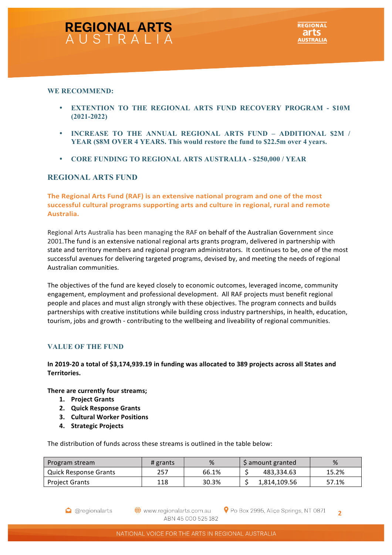

#### **WE RECOMMEND:**

- **EXTENTION TO THE REGIONAL ARTS FUND RECOVERY PROGRAM - \$10M (2021-2022)**
- **INCREASE TO THE ANNUAL REGIONAL ARTS FUND – ADDITIONAL \$2M / YEAR (\$8M OVER 4 YEARS. This would restore the fund to \$22.5m over 4 years.**
- **CORE FUNDING TO REGIONAL ARTS AUSTRALIA - \$250,000 / YEAR**

## **REGIONAL ARTS FUND**

**The Regional Arts Fund (RAF) is an extensive national program and one of the most** successful cultural programs supporting arts and culture in regional, rural and remote **Australia.**

Regional Arts Australia has been managing the RAF on behalf of the Australian Government since 2001. The fund is an extensive national regional arts grants program, delivered in partnership with state and territory members and regional program administrators. It continues to be, one of the most successful avenues for delivering targeted programs, devised by, and meeting the needs of regional Australian communities. 

The objectives of the fund are keyed closely to economic outcomes, leveraged income, community engagement, employment and professional development. All RAF projects must benefit regional people and places and must align strongly with these objectives. The program connects and builds partnerships with creative institutions while building cross industry partnerships, in health, education, tourism, jobs and growth - contributing to the wellbeing and liveability of regional communities.

#### **VALUE OF THE FUND**

#### In 2019-20 a total of \$3,174,939.19 in funding was allocated to 389 projects across all States and **Territories.**

There are currently four streams;

- 1. **Project Grants**
- **2. Quick Response Grants**
- **3. Cultural Worker Positions**
- **4. Strategic Projects**

The distribution of funds across these streams is outlined in the table below:

| Program stream        | # grants | %     | S amount granted | %     |
|-----------------------|----------|-------|------------------|-------|
| Quick Response Grants | 257      | 66.1% | 483.334.63       | 15.2% |
| <b>Project Grants</b> | 118      | 30.3% | 1,814,109.56     | 57.1% |

**Q** regionalarts

www.regionalarts.com.au ABN 45 000 525 182 P Po Box 2995, Alice Springs, NT 0871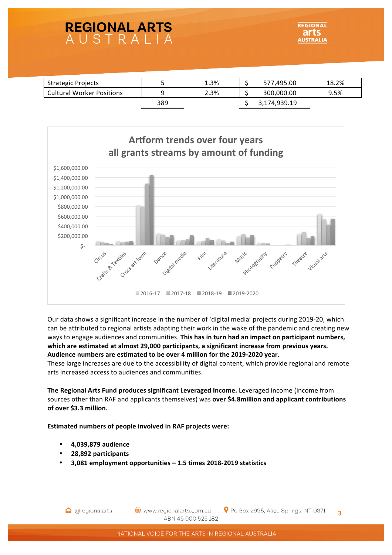| Strategic Projects               |     | 1.3% | 577,495.00   | 18.2% |
|----------------------------------|-----|------|--------------|-------|
| <b>Cultural Worker Positions</b> | a   | 2.3% | 300,000.00   | 9.5%  |
|                                  | 389 |      | 3,174,939.19 |       |



Our data shows a significant increase in the number of 'digital media' projects during 2019-20, which can be attributed to regional artists adapting their work in the wake of the pandemic and creating new ways to engage audiences and communities. This has in turn had an impact on participant numbers, which are estimated at almost 29,000 participants, a significant increase from previous years. Audience numbers are estimated to be over 4 million for the 2019-2020 year.

These large increases are due to the accessibility of digital content, which provide regional and remote arts increased access to audiences and communities.

The Regional Arts Fund produces significant Leveraged Income. Leveraged income (income from sources other than RAF and applicants themselves) was **over \$4.8million and applicant contributions** of over \$3.3 million.

**Estimated numbers of people involved in RAF projects were:** 

- **4,039,879 audience**
- **28,892 participants**
- **3,081 employment opportunities – 1.5 times 2018-2019 statistics**

**Q** regionalarts

www.regionalarts.com.au ABN 45 000 525 182 P Po Box 2995, Alice Springs, NT 0871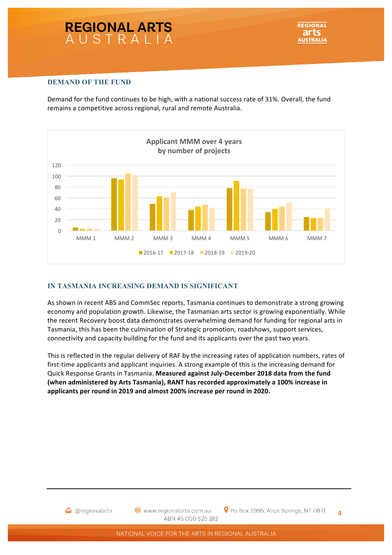## **DEMAND OF THE FUND**

Demand for the fund continues to be high, with a national success rate of 31%. Overall, the fund remains a competitive across regional, rural and remote Australia.



## **IN TASMANIA INCREASING DEMAND IS SIGNIFICANT**

As shown in recent ABS and CommSec reports, Tasmania continues to demonstrate a strong growing economy and population growth. Likewise, the Tasmanian arts sector is growing exponentially. While the recent Recovery boost data demonstrates overwhelming demand for funding for regional arts in Tasmania, this has been the culmination of Strategic promotion, roadshows, support services, connectivity and capacity building for the fund and its applicants over the past two years.

This is reflected in the regular delivery of RAF by the increasing rates of application numbers, rates of first-time applicants and applicant inquiries. A strong example of this is the increasing demand for Quick Response Grants in Tasmania. Measured against July-December 2018 data from the fund (when administered by Arts Tasmania), RANT has recorded approximately a 100% increase in applicants per round in 2019 and almost 200% increase per round in 2020.

**Q** regionalarts

www.regionalarts.com.au ABN 45 000 525 182 Po Box 2995, Alice Springs, NT 0871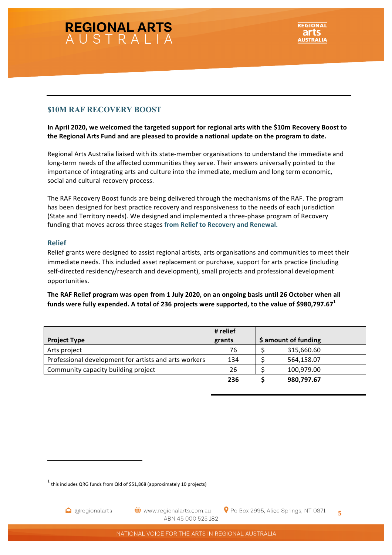

## **\$10M RAF RECOVERY BOOST**

In April 2020, we welcomed the targeted support for regional arts with the \$10m Recovery Boost to the Regional Arts Fund and are pleased to provide a national update on the program to date.

Regional Arts Australia liaised with its state-member organisations to understand the immediate and long-term needs of the affected communities they serve. Their answers universally pointed to the importance of integrating arts and culture into the immediate, medium and long term economic, social and cultural recovery process.

The RAF Recovery Boost funds are being delivered through the mechanisms of the RAF. The program has been designed for best practice recovery and responsiveness to the needs of each jurisdiction (State and Territory needs). We designed and implemented a three-phase program of Recovery funding that moves across three stages from Relief to Recovery and Renewal.

#### **Relief**

Relief grants were designed to assist regional artists, arts organisations and communities to meet their immediate needs. This included asset replacement or purchase, support for arts practice (including self-directed residency/research and development), small projects and professional development opportunities. 

The RAF Relief program was open from 1 July 2020, on an ongoing basis until 26 October when all funds were fully expended. A total of 236 projects were supported, to the value of \$980,797.67<sup>1</sup>

|                                                       | # relief |                      |
|-------------------------------------------------------|----------|----------------------|
| <b>Project Type</b>                                   | grants   | \$ amount of funding |
| Arts project                                          | 76       | 315,660.60           |
| Professional development for artists and arts workers | 134      | 564,158.07           |
| Community capacity building project                   | 26       | 100,979.00           |
|                                                       | 236      | 980,797.67           |

**C** @regionalarts

<u> 1989 - Johann Stein, fransk politiker (d. 1989)</u>

www.regionalarts.com.au ABN 45 000 525 182

 $^1$  this includes QRG funds from Qld of \$51,868 (approximately 10 projects)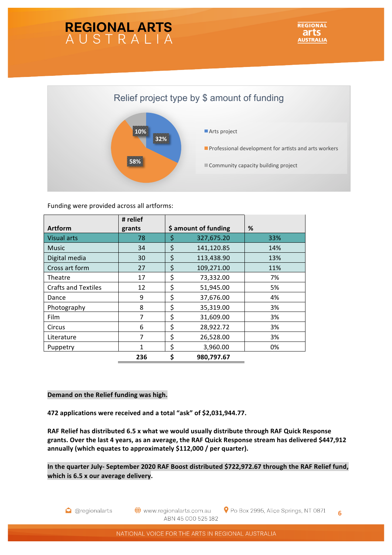

Funding were provided across all artforms:

|                            | # relief |                      |     |
|----------------------------|----------|----------------------|-----|
| <b>Artform</b>             | grants   | \$ amount of funding | %   |
| <b>Visual arts</b>         | 78       | \$<br>327,675.20     | 33% |
| <b>Music</b>               | 34       | \$<br>141,120.85     | 14% |
| Digital media              | 30       | \$<br>113,438.90     | 13% |
| Cross art form             | 27       | \$<br>109,271.00     | 11% |
| Theatre                    | 17       | \$<br>73,332.00      | 7%  |
| <b>Crafts and Textiles</b> | 12       | \$<br>51,945.00      | 5%  |
| Dance                      | 9        | \$<br>37,676.00      | 4%  |
| Photography                | 8        | \$<br>35,319.00      | 3%  |
| Film                       | 7        | \$<br>31,609.00      | 3%  |
| Circus                     | 6        | \$<br>28,922.72      | 3%  |
| Literature                 | 7        | \$<br>26,528.00      | 3%  |
| Puppetry                   | 1        | \$<br>3,960.00       | 0%  |
|                            | 236      | \$<br>980,797.67     |     |

#### Demand on the Relief funding was high.

**472 applications were received and a total "ask" of \$2,031,944.77.**

RAF Relief has distributed 6.5 x what we would usually distribute through RAF Quick Response grants. Over the last 4 years, as an average, the RAF Quick Response stream has delivered \$447,912 annually (which equates to approximately \$112,000 / per quarter).

In the quarter July- September 2020 RAF Boost distributed \$722,972.67 through the RAF Relief fund, which is 6.5 x our average delivery.

**Q** regionalarts

www.regionalarts.com.au ABN 45 000 525 182 Po Box 2995, Alice Springs, NT 0871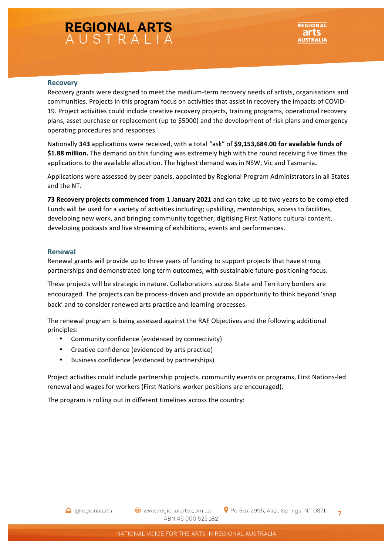#### **Recovery**

Recovery grants were designed to meet the medium-term recovery needs of artists, organisations and communities. Projects in this program focus on activities that assist in recovery the impacts of COVID-19. Project activities could include creative recovery projects, training programs, operational recovery plans, asset purchase or replacement (up to \$5000) and the development of risk plans and emergency operating procedures and responses.

Nationally 343 applications were received, with a total "ask" of \$9,153,684.00 for available funds of \$1.88 million. The demand on this funding was extremely high with the round receiving five times the applications to the available allocation. The highest demand was in NSW, Vic and Tasmania.

Applications were assessed by peer panels, appointed by Regional Program Administrators in all States and the NT.

**73 Recovery projects commenced from 1 January 2021** and can take up to two years to be completed Funds will be used for a variety of activities including; upskilling, mentorships, access to facilities, developing new work, and bringing community together, digitising First Nations cultural content, developing podcasts and live streaming of exhibitions, events and performances.

#### **Renewal**

Renewal grants will provide up to three years of funding to support projects that have strong partnerships and demonstrated long term outcomes, with sustainable future-positioning focus.

These projects will be strategic in nature. Collaborations across State and Territory borders are encouraged. The projects can be process-driven and provide an opportunity to think beyond 'snap back' and to consider renewed arts practice and learning processes.

The renewal program is being assessed against the RAF Objectives and the following additional principles: 

- Community confidence (evidenced by connectivity)
- Creative confidence (evidenced by arts practice)
- Business confidence (evidenced by partnerships)

Project activities could include partnership projects, community events or programs, First Nations-led renewal and wages for workers (First Nations worker positions are encouraged).

The program is rolling out in different timelines across the country: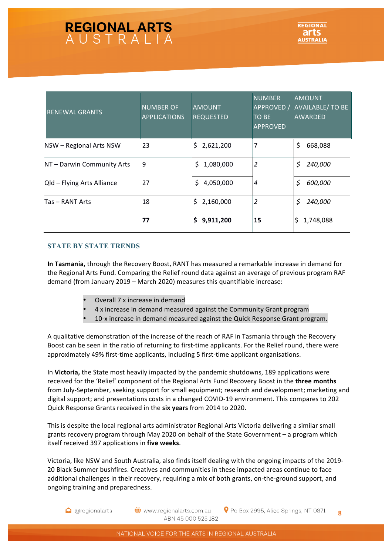| <b>RENEWAL GRANTS</b>      | <b>NUMBER OF</b><br><b>APPLICATIONS</b> | <b>AMOUNT</b><br><b>REQUESTED</b> | <b>NUMBER</b><br>APPROVED /<br>TO BE<br><b>APPROVED</b> | <b>AMOUNT</b><br><b>AVAILABLE/TO BE</b><br><b>AWARDED</b> |
|----------------------------|-----------------------------------------|-----------------------------------|---------------------------------------------------------|-----------------------------------------------------------|
| NSW - Regional Arts NSW    | 23                                      | 2,621,200<br>\$.                  | 7                                                       | \$<br>668,088                                             |
| NT - Darwin Community Arts | 9                                       | Ś.<br>1,080,000                   | $\overline{2}$                                          | \$.<br>240,000                                            |
| Qld - Flying Arts Alliance | 27                                      | \$<br>4,050,000                   | $\overline{4}$                                          | \$<br>600,000                                             |
| Tas – RANT Arts            | 18                                      | \$.<br>2,160,000                  | $\overline{2}$                                          | \$.<br>240,000                                            |
|                            | 77                                      | ς.<br>9,911,200                   | 15                                                      | Ś<br>1,748,088                                            |

#### **STATE BY STATE TRENDS**

**In Tasmania,** through the Recovery Boost, RANT has measured a remarkable increase in demand for the Regional Arts Fund. Comparing the Relief round data against an average of previous program RAF demand (from January 2019 – March 2020) measures this quantifiable increase:

- Overall 7 x increase in demand
- 4 x increase in demand measured against the Community Grant program
- 10-x increase in demand measured against the Quick Response Grant program.

A qualitative demonstration of the increase of the reach of RAF in Tasmania through the Recovery Boost can be seen in the ratio of returning to first-time applicants. For the Relief round, there were approximately 49% first-time applicants, including 5 first-time applicant organisations.

In Victoria, the State most heavily impacted by the pandemic shutdowns, 189 applications were received for the 'Relief' component of the Regional Arts Fund Recovery Boost in the **three months** from July-September, seeking support for small equipment; research and development; marketing and digital support; and presentations costs in a changed COVID-19 environment. This compares to 202 Quick Response Grants received in the six years from 2014 to 2020.

This is despite the local regional arts administrator Regional Arts Victoria delivering a similar small grants recovery program through May 2020 on behalf of the State Government  $-$  a program which itself received 397 applications in five weeks.

Victoria, like NSW and South Australia, also finds itself dealing with the ongoing impacts of the 2019-20 Black Summer bushfires. Creatives and communities in these impacted areas continue to face additional challenges in their recovery, requiring a mix of both grants, on-the-ground support, and ongoing training and preparedness.

**C** @regionalarts

www.regionalarts.com.au ABN 45 000 525 182 P Po Box 2995, Alice Springs, NT 0871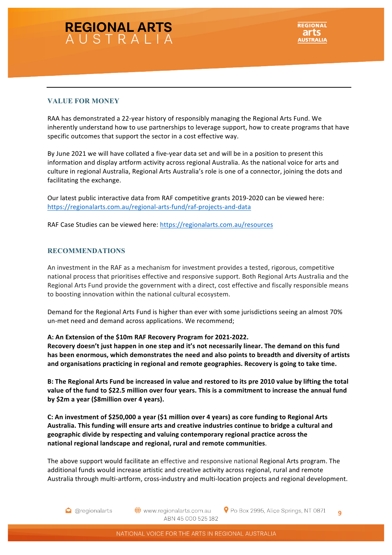#### **VALUE FOR MONEY**

RAA has demonstrated a 22-year history of responsibly managing the Regional Arts Fund. We inherently understand how to use partnerships to leverage support, how to create programs that have specific outcomes that support the sector in a cost effective way.

By June 2021 we will have collated a five-year data set and will be in a position to present this information and display artform activity across regional Australia. As the national voice for arts and culture in regional Australia, Regional Arts Australia's role is one of a connector, joining the dots and facilitating the exchange.

Our latest public interactive data from RAF competitive grants 2019-2020 can be viewed here: https://regionalarts.com.au/regional-arts-fund/raf-projects-and-data

RAF Case Studies can be viewed here: https://regionalarts.com.au/resources

#### **RECOMMENDATIONS**

An investment in the RAF as a mechanism for investment provides a tested, rigorous, competitive national process that prioritises effective and responsive support. Both Regional Arts Australia and the Regional Arts Fund provide the government with a direct, cost effective and fiscally responsible means to boosting innovation within the national cultural ecosystem.

Demand for the Regional Arts Fund is higher than ever with some jurisdictions seeing an almost 70% un-met need and demand across applications. We recommend;

#### A: An Extension of the \$10m RAF Recovery Program for 2021-2022.

Recovery doesn't just happen in one step and it's not necessarily linear. The demand on this fund has been enormous, which demonstrates the need and also points to breadth and diversity of artists and organisations practicing in regional and remote geographies. Recovery is going to take time.

B: The Regional Arts Fund be increased in value and restored to its pre 2010 value by lifting the total value of the fund to \$22.5 million over four years. This is a commitment to increase the annual fund by \$2m a year (\$8million over 4 years).

C: An investment of \$250,000 a year (\$1 million over 4 years) as core funding to Regional Arts Australia. This funding will ensure arts and creative industries continue to bridge a cultural and **geographic divide by respecting and valuing contemporary regional practice across the national regional landscape and regional, rural and remote communities**.

The above support would facilitate an effective and responsive national Regional Arts program. The additional funds would increase artistic and creative activity across regional, rural and remote Australia through multi-artform, cross-industry and multi-location projects and regional development.

**Q** @regionalarts

 $\bigoplus$  www.regionalarts.com.au ABN 45 000 525 182 P Po Box 2995, Alice Springs, NT 0871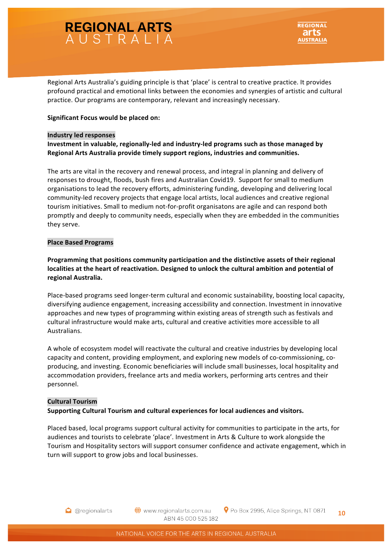Regional Arts Australia's guiding principle is that 'place' is central to creative practice. It provides profound practical and emotional links between the economies and synergies of artistic and cultural practice. Our programs are contemporary, relevant and increasingly necessary.

#### **Significant Focus would be placed on:**

#### **Industry led responses**

**Investment in valuable, regionally-led and industry-led programs such as those managed by Regional Arts Australia provide timely support regions, industries and communities.** 

The arts are vital in the recovery and renewal process, and integral in planning and delivery of responses to drought, floods, bush fires and Australian Covid19. Support for small to medium organisations to lead the recovery efforts, administering funding, developing and delivering local community-led recovery projects that engage local artists, local audiences and creative regional tourism initiatives. Small to medium not-for-profit organisatons are agile and can respond both promptly and deeply to community needs, especially when they are embedded in the communities they serve.

#### **Place Based Programs**

Programming that positions community participation and the distinctive assets of their regional localities at the heart of reactivation. Designed to unlock the cultural ambition and potential of **regional Australia.**

Place-based programs seed longer-term cultural and economic sustainability, boosting local capacity, diversifying audience engagement, increasing accessibility and connection. Investment in innovative approaches and new types of programming within existing areas of strength such as festivals and cultural infrastructure would make arts, cultural and creative activities more accessible to all Australians. 

A whole of ecosystem model will reactivate the cultural and creative industries by developing local capacity and content, providing employment, and exploring new models of co-commissioning, coproducing, and investing. Economic beneficiaries will include small businesses, local hospitality and accommodation providers, freelance arts and media workers, performing arts centres and their personnel.

#### **Cultural Tourism**

#### Supporting Cultural Tourism and cultural experiences for local audiences and visitors.

Placed based, local programs support cultural activity for communities to participate in the arts, for audiences and tourists to celebrate 'place'. Investment in Arts & Culture to work alongside the Tourism and Hospitality sectors will support consumer confidence and activate engagement, which in turn will support to grow jobs and local businesses.

**Q** @regionalarts

P Po Box 2995, Alice Springs, NT 0871